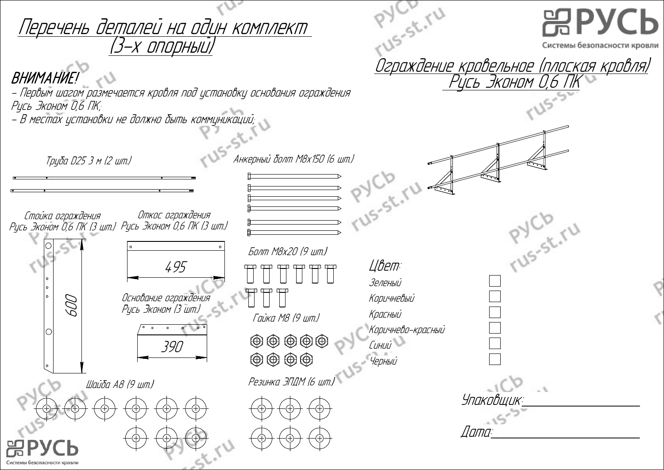|                                                              | Перечень деталей на один комплект                                     |                                                                                      | $x^3 - 5t$ , $rU$                     | <b>噐PYCb</b>                                                                                       |  |
|--------------------------------------------------------------|-----------------------------------------------------------------------|--------------------------------------------------------------------------------------|---------------------------------------|----------------------------------------------------------------------------------------------------|--|
| <b>BHUMAHUE!</b><br>Русь Эконом О,6 ПК;                      | – Первым шагом размечается кровля под установку основания ограждения  |                                                                                      |                                       | Системы безопасности кровли<br><u>Ограждение кровельное (плоская кровля)</u><br>Русь Эконом 0,6 ПК |  |
| Труба D25 3 м (2 шт.)<br>Стойка ограждения                   | – В местах установки не должно быть коммуникаций;<br>Откос ограждения | Анкерный болт М8х150 (6 шт.)                                                         | PYLID &                               |                                                                                                    |  |
| Русь Эконом О,6 ПК (3 шт.) Русь Эконом 0,6 ПК (3 шт.)<br>600 | 495<br>Основание ограждения<br>Русь Эконом (3 шт.)                    | Болт М8х20 (9 шт.)                                                                   | Цвет:<br>Зеленый<br>Коричневый        | PYCB. TU                                                                                           |  |
|                                                              | 390                                                                   | Гайка М8 (9 шт.)<br>$\circledcirc \circledcirc \circledcirc$<br>Резинка ЭПДМ (6 шт.) | Красный<br>Коричнево-красный<br>Синий |                                                                                                    |  |
| 品P                                                           | Шайба А8 (9 шт.)                                                      |                                                                                      |                                       | Упаковщик:_<br>s<br><i>Dama</i> :                                                                  |  |
| Системы безопасности кровли                                  |                                                                       |                                                                                      |                                       |                                                                                                    |  |